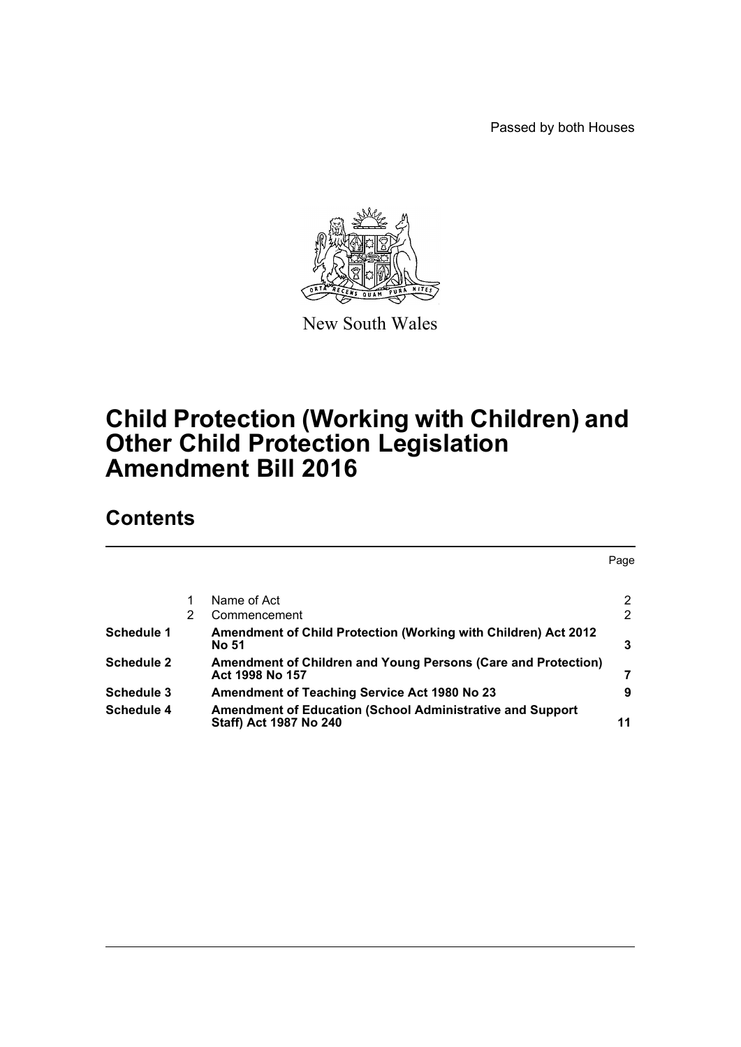Passed by both Houses



New South Wales

# **Child Protection (Working with Children) and Other Child Protection Legislation Amendment Bill 2016**

# **Contents**

|                   |   |                                                                                            | Page                                         |
|-------------------|---|--------------------------------------------------------------------------------------------|----------------------------------------------|
|                   |   |                                                                                            |                                              |
|                   | 2 | Name of Act<br>Commencement                                                                | $\mathbf{2}^{\circ}$<br>$\mathbf{2}^{\circ}$ |
| Schedule 1        |   | Amendment of Child Protection (Working with Children) Act 2012<br>No 51                    | 3                                            |
| <b>Schedule 2</b> |   | Amendment of Children and Young Persons (Care and Protection)<br>Act 1998 No 157           |                                              |
| Schedule 3        |   | <b>Amendment of Teaching Service Act 1980 No 23</b>                                        | 9                                            |
| Schedule 4        |   | <b>Amendment of Education (School Administrative and Support</b><br>Staff) Act 1987 No 240 | 11                                           |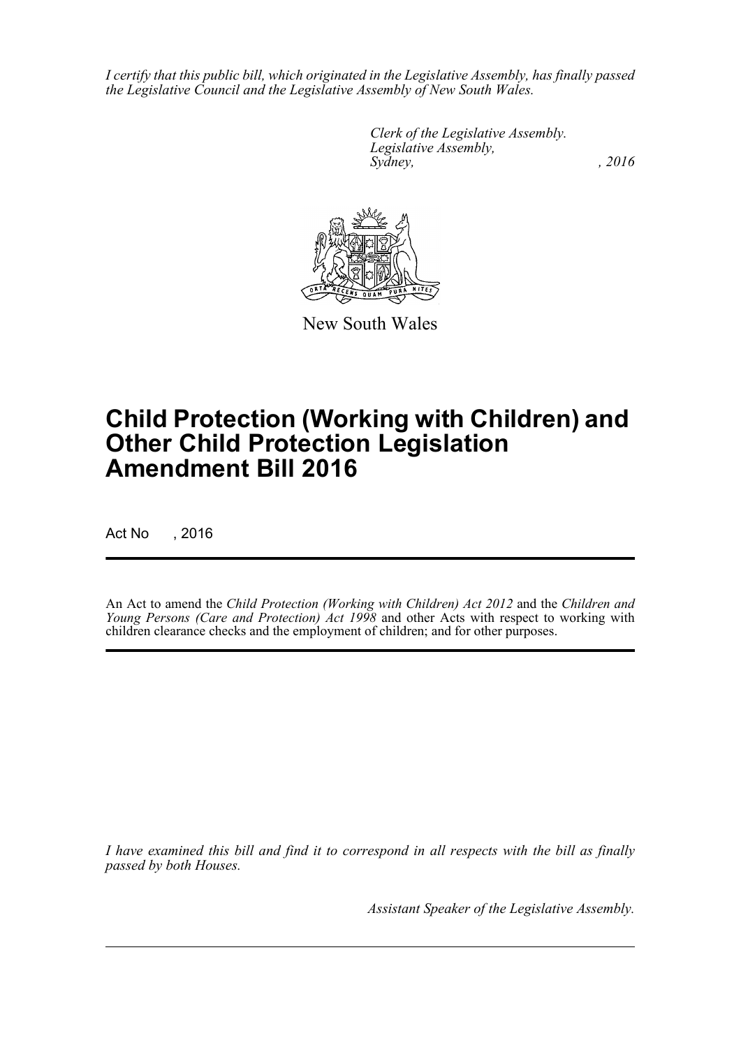*I certify that this public bill, which originated in the Legislative Assembly, has finally passed the Legislative Council and the Legislative Assembly of New South Wales.*

> *Clerk of the Legislative Assembly. Legislative Assembly, Sydney,* , 2016



New South Wales

# **Child Protection (Working with Children) and Other Child Protection Legislation Amendment Bill 2016**

Act No , 2016

An Act to amend the *Child Protection (Working with Children) Act 2012* and the *Children and Young Persons (Care and Protection) Act 1998* and other Acts with respect to working with children clearance checks and the employment of children; and for other purposes.

*I have examined this bill and find it to correspond in all respects with the bill as finally passed by both Houses.*

*Assistant Speaker of the Legislative Assembly.*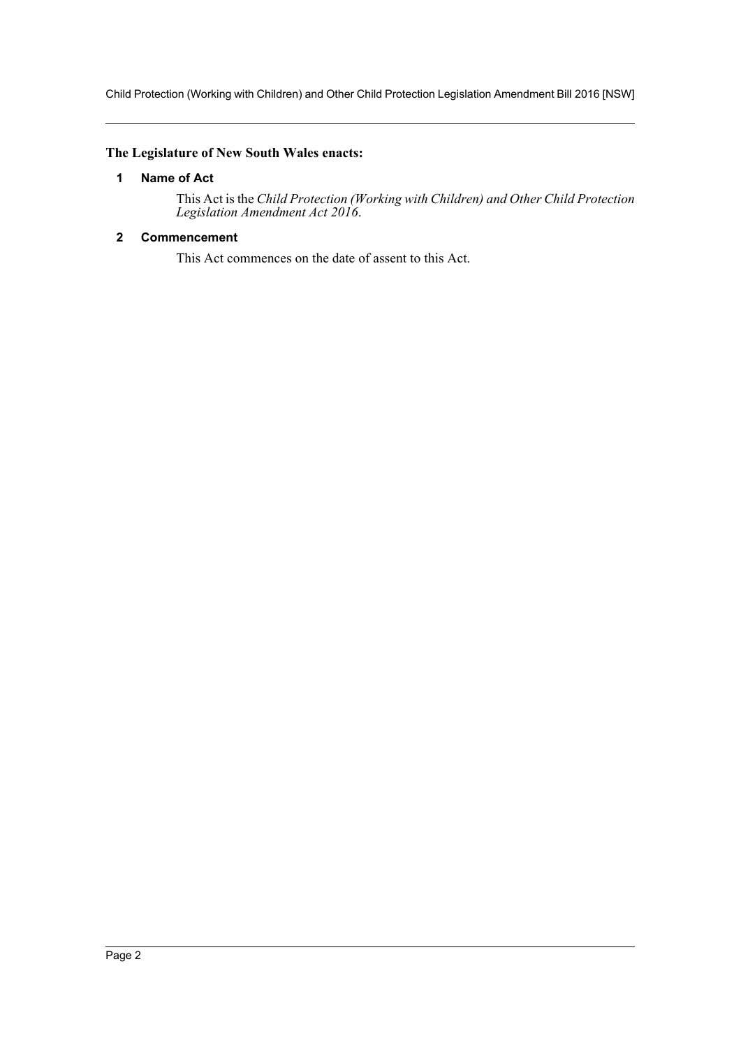Child Protection (Working with Children) and Other Child Protection Legislation Amendment Bill 2016 [NSW]

## <span id="page-2-0"></span>**The Legislature of New South Wales enacts:**

### **1 Name of Act**

This Act is the *Child Protection (Working with Children) and Other Child Protection Legislation Amendment Act 2016*.

### <span id="page-2-1"></span>**2 Commencement**

This Act commences on the date of assent to this Act.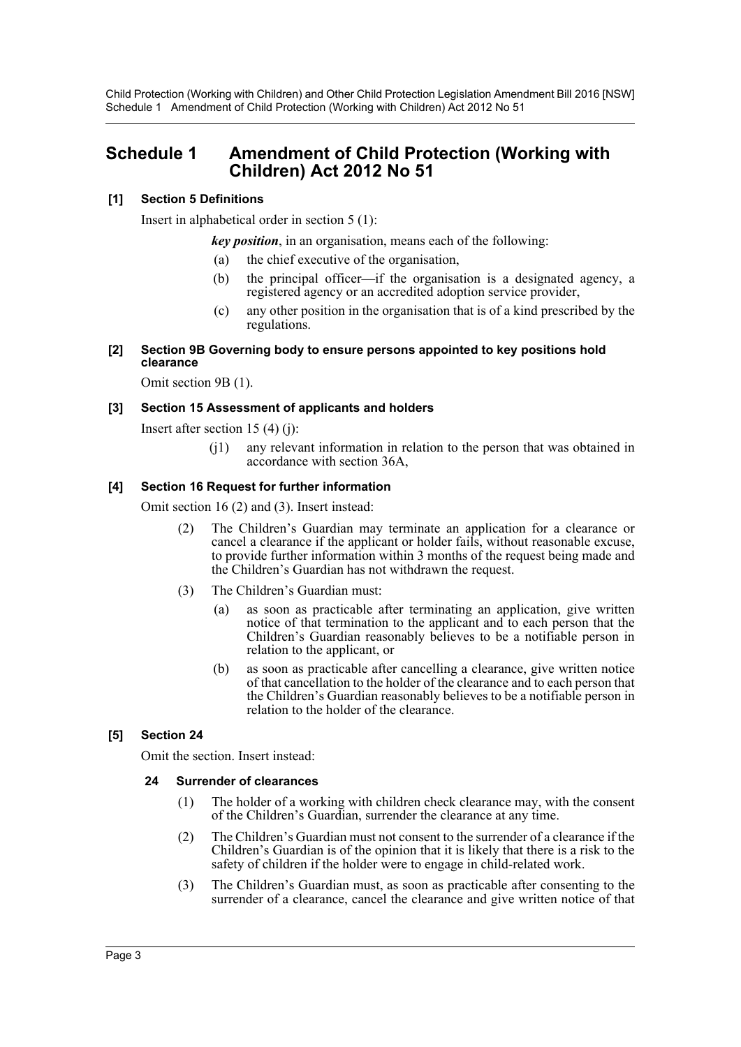# <span id="page-3-0"></span>**Schedule 1 Amendment of Child Protection (Working with Children) Act 2012 No 51**

## **[1] Section 5 Definitions**

Insert in alphabetical order in section 5 (1):

*key position*, in an organisation, means each of the following:

- (a) the chief executive of the organisation,
- (b) the principal officer—if the organisation is a designated agency, a registered agency or an accredited adoption service provider,
- (c) any other position in the organisation that is of a kind prescribed by the regulations.

#### **[2] Section 9B Governing body to ensure persons appointed to key positions hold clearance**

Omit section 9B (1).

### **[3] Section 15 Assessment of applicants and holders**

Insert after section 15 (4) (j):

(j1) any relevant information in relation to the person that was obtained in accordance with section 36A,

### **[4] Section 16 Request for further information**

Omit section 16 (2) and (3). Insert instead:

- (2) The Children's Guardian may terminate an application for a clearance or cancel a clearance if the applicant or holder fails, without reasonable excuse, to provide further information within 3 months of the request being made and the Children's Guardian has not withdrawn the request.
- (3) The Children's Guardian must:
	- (a) as soon as practicable after terminating an application, give written notice of that termination to the applicant and to each person that the Children's Guardian reasonably believes to be a notifiable person in relation to the applicant, or
	- (b) as soon as practicable after cancelling a clearance, give written notice of that cancellation to the holder of the clearance and to each person that the Children's Guardian reasonably believes to be a notifiable person in relation to the holder of the clearance.

## **[5] Section 24**

Omit the section. Insert instead:

#### **24 Surrender of clearances**

- (1) The holder of a working with children check clearance may, with the consent of the Children's Guardian, surrender the clearance at any time.
- (2) The Children's Guardian must not consent to the surrender of a clearance if the Children's Guardian is of the opinion that it is likely that there is a risk to the safety of children if the holder were to engage in child-related work.
- (3) The Children's Guardian must, as soon as practicable after consenting to the surrender of a clearance, cancel the clearance and give written notice of that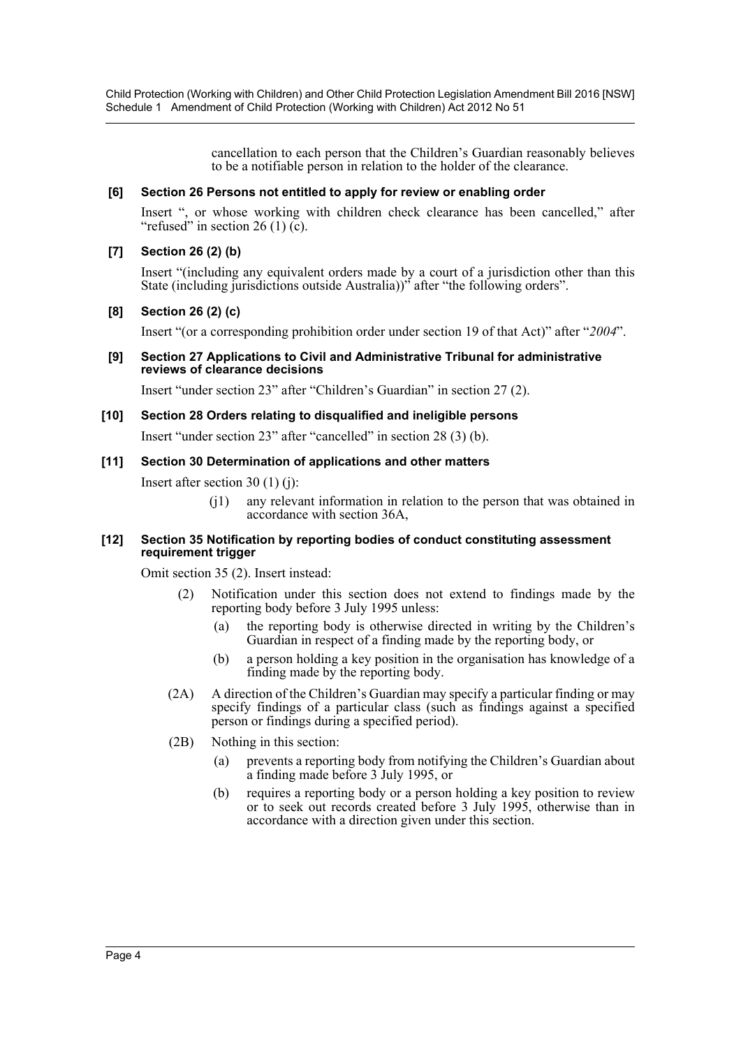> cancellation to each person that the Children's Guardian reasonably believes to be a notifiable person in relation to the holder of the clearance.

#### **[6] Section 26 Persons not entitled to apply for review or enabling order**

Insert ", or whose working with children check clearance has been cancelled," after "refused" in section 26 (1)  $(c)$ .

#### **[7] Section 26 (2) (b)**

Insert "(including any equivalent orders made by a court of a jurisdiction other than this State (including jurisdictions outside Australia))" after "the following orders".

#### **[8] Section 26 (2) (c)**

Insert "(or a corresponding prohibition order under section 19 of that Act)" after "*2004*".

#### **[9] Section 27 Applications to Civil and Administrative Tribunal for administrative reviews of clearance decisions**

Insert "under section 23" after "Children's Guardian" in section 27 (2).

#### **[10] Section 28 Orders relating to disqualified and ineligible persons**

Insert "under section 23" after "cancelled" in section 28 (3) (b).

#### **[11] Section 30 Determination of applications and other matters**

Insert after section 30 (1) (j):

(j1) any relevant information in relation to the person that was obtained in accordance with section 36A,

#### **[12] Section 35 Notification by reporting bodies of conduct constituting assessment requirement trigger**

Omit section 35 (2). Insert instead:

- (2) Notification under this section does not extend to findings made by the reporting body before 3 July 1995 unless:
	- (a) the reporting body is otherwise directed in writing by the Children's Guardian in respect of a finding made by the reporting body, or
	- (b) a person holding a key position in the organisation has knowledge of a finding made by the reporting body.
- (2A) A direction of the Children's Guardian may specify a particular finding or may specify findings of a particular class (such as findings against a specified person or findings during a specified period).
- (2B) Nothing in this section:
	- (a) prevents a reporting body from notifying the Children's Guardian about a finding made before 3 July 1995, or
	- (b) requires a reporting body or a person holding a key position to review or to seek out records created before 3 July 1995, otherwise than in accordance with a direction given under this section.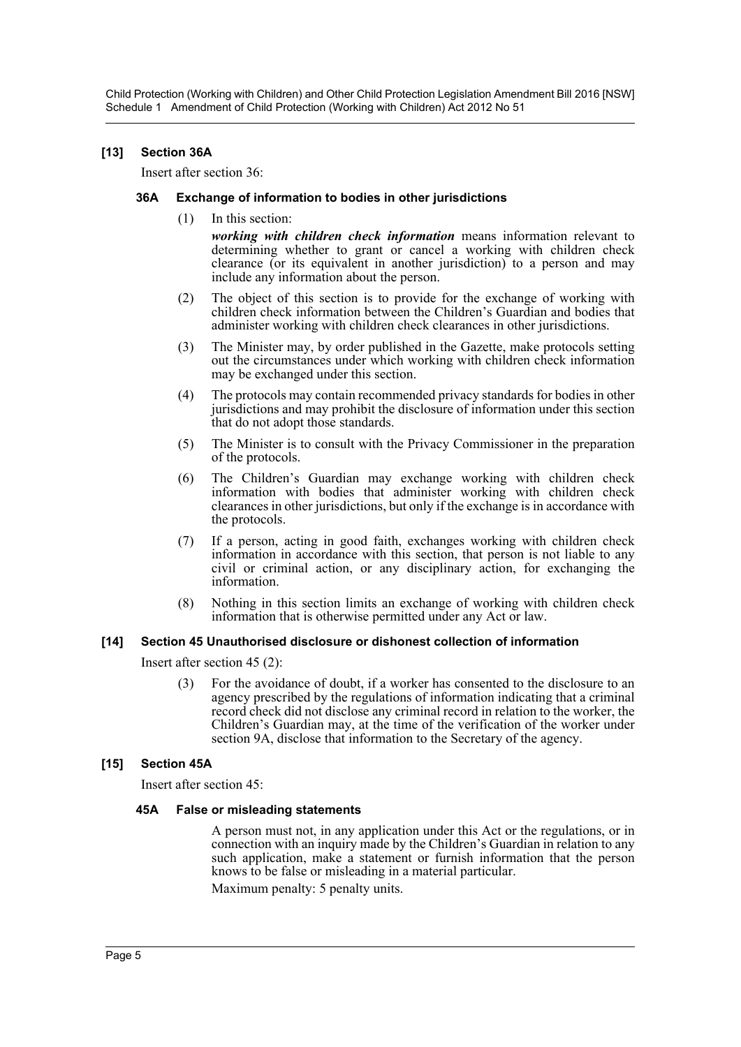#### **[13] Section 36A**

Insert after section 36:

#### **36A Exchange of information to bodies in other jurisdictions**

(1) In this section:

*working with children check information* means information relevant to determining whether to grant or cancel a working with children check clearance (or its equivalent in another jurisdiction) to a person and may include any information about the person.

- (2) The object of this section is to provide for the exchange of working with children check information between the Children's Guardian and bodies that administer working with children check clearances in other jurisdictions.
- (3) The Minister may, by order published in the Gazette, make protocols setting out the circumstances under which working with children check information may be exchanged under this section.
- (4) The protocols may contain recommended privacy standards for bodies in other jurisdictions and may prohibit the disclosure of information under this section that do not adopt those standards.
- (5) The Minister is to consult with the Privacy Commissioner in the preparation of the protocols.
- (6) The Children's Guardian may exchange working with children check information with bodies that administer working with children check clearances in other jurisdictions, but only if the exchange is in accordance with the protocols.
- (7) If a person, acting in good faith, exchanges working with children check information in accordance with this section, that person is not liable to any civil or criminal action, or any disciplinary action, for exchanging the information.
- (8) Nothing in this section limits an exchange of working with children check information that is otherwise permitted under any Act or law.

#### **[14] Section 45 Unauthorised disclosure or dishonest collection of information**

Insert after section 45 (2):

(3) For the avoidance of doubt, if a worker has consented to the disclosure to an agency prescribed by the regulations of information indicating that a criminal record check did not disclose any criminal record in relation to the worker, the Children's Guardian may, at the time of the verification of the worker under section 9A, disclose that information to the Secretary of the agency.

#### **[15] Section 45A**

Insert after section 45:

#### **45A False or misleading statements**

A person must not, in any application under this Act or the regulations, or in connection with an inquiry made by the Children's Guardian in relation to any such application, make a statement or furnish information that the person knows to be false or misleading in a material particular. Maximum penalty: 5 penalty units.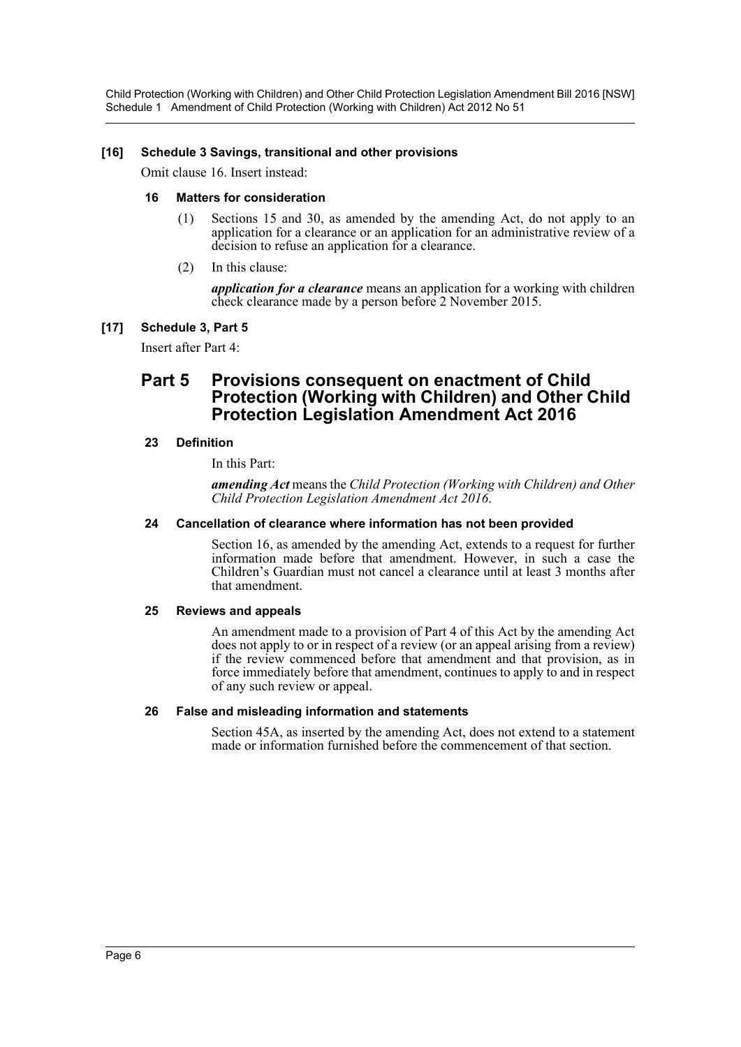#### **[16] Schedule 3 Savings, transitional and other provisions**

Omit clause 16. Insert instead:

#### **16 Matters for consideration**

- (1) Sections 15 and 30, as amended by the amending Act, do not apply to an application for a clearance or an application for an administrative review of a decision to refuse an application for a clearance.
- (2) In this clause:

*application for a clearance* means an application for a working with children check clearance made by a person before 2 November 2015.

### **[17] Schedule 3, Part 5**

Insert after Part 4:

## **Part 5 Provisions consequent on enactment of Child Protection (Working with Children) and Other Child Protection Legislation Amendment Act 2016**

#### **23 Definition**

In this Part:

*amending Act* means the *Child Protection (Working with Children) and Other Child Protection Legislation Amendment Act 2016*.

#### **24 Cancellation of clearance where information has not been provided**

Section 16, as amended by the amending Act, extends to a request for further information made before that amendment. However, in such a case the Children's Guardian must not cancel a clearance until at least 3 months after that amendment.

#### **25 Reviews and appeals**

An amendment made to a provision of Part 4 of this Act by the amending Act does not apply to or in respect of a review (or an appeal arising from a review) if the review commenced before that amendment and that provision, as in force immediately before that amendment, continues to apply to and in respect of any such review or appeal.

#### **26 False and misleading information and statements**

Section 45A, as inserted by the amending Act, does not extend to a statement made or information furnished before the commencement of that section.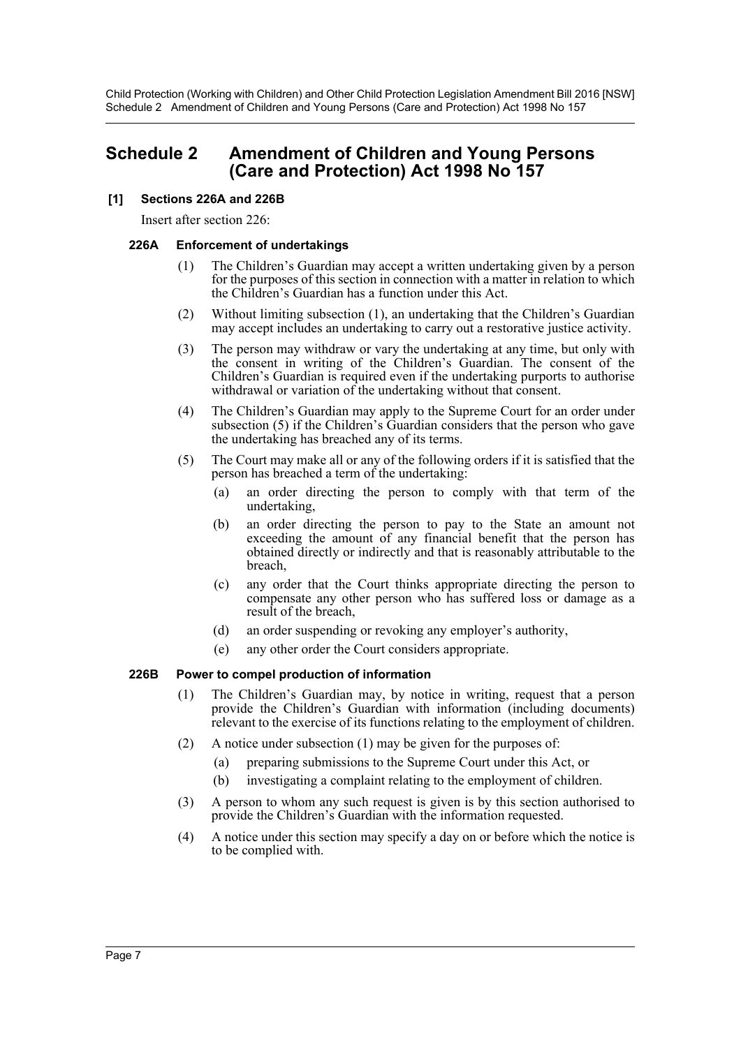Child Protection (Working with Children) and Other Child Protection Legislation Amendment Bill 2016 [NSW] Schedule 2 Amendment of Children and Young Persons (Care and Protection) Act 1998 No 157

# <span id="page-7-0"></span>**Schedule 2 Amendment of Children and Young Persons (Care and Protection) Act 1998 No 157**

### **[1] Sections 226A and 226B**

Insert after section 226:

#### **226A Enforcement of undertakings**

- (1) The Children's Guardian may accept a written undertaking given by a person for the purposes of this section in connection with a matter in relation to which the Children's Guardian has a function under this Act.
- (2) Without limiting subsection (1), an undertaking that the Children's Guardian may accept includes an undertaking to carry out a restorative justice activity.
- (3) The person may withdraw or vary the undertaking at any time, but only with the consent in writing of the Children's Guardian. The consent of the Children's Guardian is required even if the undertaking purports to authorise withdrawal or variation of the undertaking without that consent.
- (4) The Children's Guardian may apply to the Supreme Court for an order under subsection (5) if the Children's Guardian considers that the person who gave the undertaking has breached any of its terms.
- (5) The Court may make all or any of the following orders if it is satisfied that the person has breached a term of the undertaking:
	- (a) an order directing the person to comply with that term of the undertaking,
	- (b) an order directing the person to pay to the State an amount not exceeding the amount of any financial benefit that the person has obtained directly or indirectly and that is reasonably attributable to the breach,
	- (c) any order that the Court thinks appropriate directing the person to compensate any other person who has suffered loss or damage as a result of the breach,
	- (d) an order suspending or revoking any employer's authority,
	- (e) any other order the Court considers appropriate.

#### **226B Power to compel production of information**

- (1) The Children's Guardian may, by notice in writing, request that a person provide the Children's Guardian with information (including documents) relevant to the exercise of its functions relating to the employment of children.
- (2) A notice under subsection (1) may be given for the purposes of:
	- (a) preparing submissions to the Supreme Court under this Act, or
	- (b) investigating a complaint relating to the employment of children.
- (3) A person to whom any such request is given is by this section authorised to provide the Children's Guardian with the information requested.
- (4) A notice under this section may specify a day on or before which the notice is to be complied with.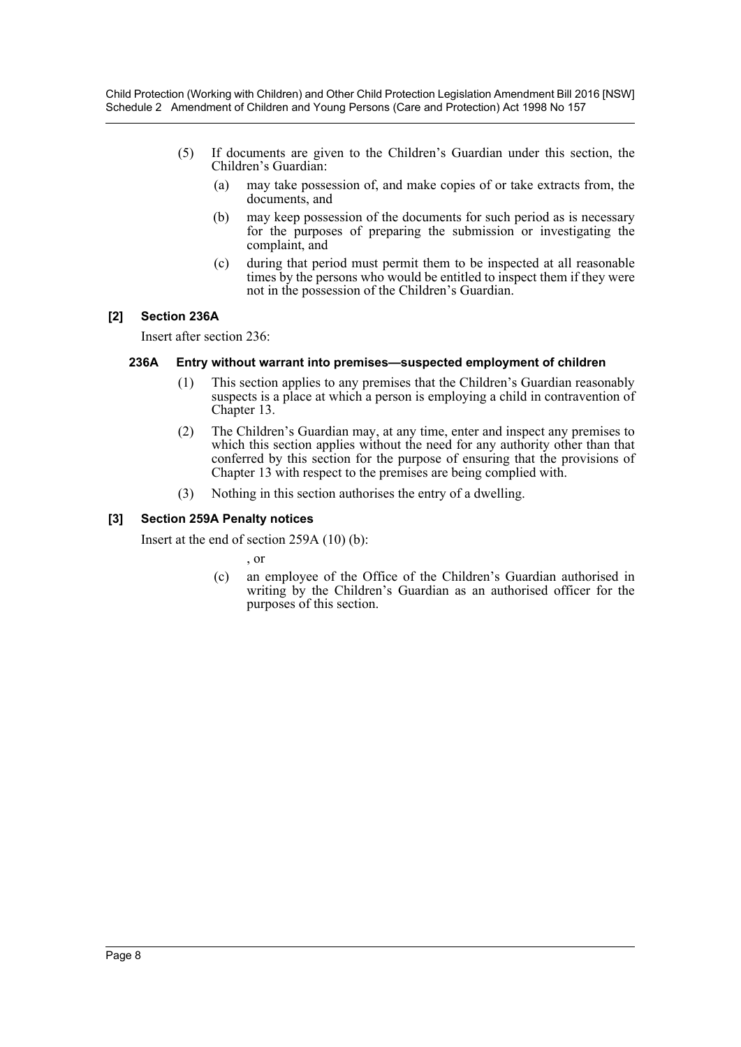Child Protection (Working with Children) and Other Child Protection Legislation Amendment Bill 2016 [NSW] Schedule 2 Amendment of Children and Young Persons (Care and Protection) Act 1998 No 157

- (5) If documents are given to the Children's Guardian under this section, the Children's Guardian:
	- (a) may take possession of, and make copies of or take extracts from, the documents, and
	- (b) may keep possession of the documents for such period as is necessary for the purposes of preparing the submission or investigating the complaint, and
	- (c) during that period must permit them to be inspected at all reasonable times by the persons who would be entitled to inspect them if they were not in the possession of the Children's Guardian.

#### **[2] Section 236A**

Insert after section 236:

#### **236A Entry without warrant into premises—suspected employment of children**

- (1) This section applies to any premises that the Children's Guardian reasonably suspects is a place at which a person is employing a child in contravention of Chapter 13.
- (2) The Children's Guardian may, at any time, enter and inspect any premises to which this section applies without the need for any authority other than that conferred by this section for the purpose of ensuring that the provisions of Chapter 13 with respect to the premises are being complied with.
- (3) Nothing in this section authorises the entry of a dwelling.

#### **[3] Section 259A Penalty notices**

Insert at the end of section 259A (10) (b):

, or

(c) an employee of the Office of the Children's Guardian authorised in writing by the Children's Guardian as an authorised officer for the purposes of this section.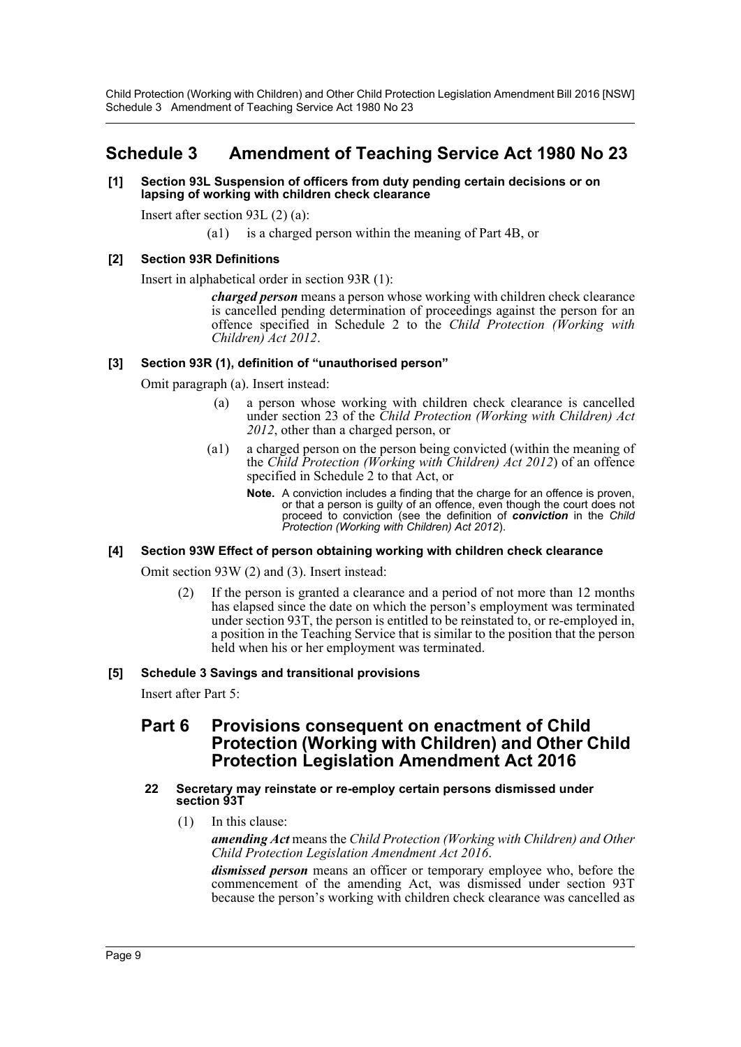Child Protection (Working with Children) and Other Child Protection Legislation Amendment Bill 2016 [NSW] Schedule 3 Amendment of Teaching Service Act 1980 No 23

# <span id="page-9-0"></span>**Schedule 3 Amendment of Teaching Service Act 1980 No 23**

#### **[1] Section 93L Suspension of officers from duty pending certain decisions or on lapsing of working with children check clearance**

Insert after section 93L (2) (a):

(a1) is a charged person within the meaning of Part 4B, or

### **[2] Section 93R Definitions**

Insert in alphabetical order in section 93R (1):

*charged person* means a person whose working with children check clearance is cancelled pending determination of proceedings against the person for an offence specified in Schedule 2 to the *Child Protection (Working with Children) Act 2012*.

#### **[3] Section 93R (1), definition of "unauthorised person"**

Omit paragraph (a). Insert instead:

- (a) a person whose working with children check clearance is cancelled under section 23 of the *Child Protection (Working with Children) Act 2012*, other than a charged person, or
- (a1) a charged person on the person being convicted (within the meaning of the *Child Protection (Working with Children) Act 2012*) of an offence specified in Schedule 2 to that Act, or
	- **Note.** A conviction includes a finding that the charge for an offence is proven, or that a person is guilty of an offence, even though the court does not proceed to conviction (see the definition of *conviction* in the *Child Protection (Working with Children) Act 2012*).

#### **[4] Section 93W Effect of person obtaining working with children check clearance**

Omit section 93W (2) and (3). Insert instead:

(2) If the person is granted a clearance and a period of not more than 12 months has elapsed since the date on which the person's employment was terminated under section 93T, the person is entitled to be reinstated to, or re-employed in, a position in the Teaching Service that is similar to the position that the person held when his or her employment was terminated.

#### **[5] Schedule 3 Savings and transitional provisions**

Insert after Part 5:

## **Part 6 Provisions consequent on enactment of Child Protection (Working with Children) and Other Child Protection Legislation Amendment Act 2016**

#### **22 Secretary may reinstate or re-employ certain persons dismissed under section 93T**

(1) In this clause:

*amending Act* means the *Child Protection (Working with Children) and Other Child Protection Legislation Amendment Act 2016*.

*dismissed person* means an officer or temporary employee who, before the commencement of the amending Act, was dismissed under section 93T because the person's working with children check clearance was cancelled as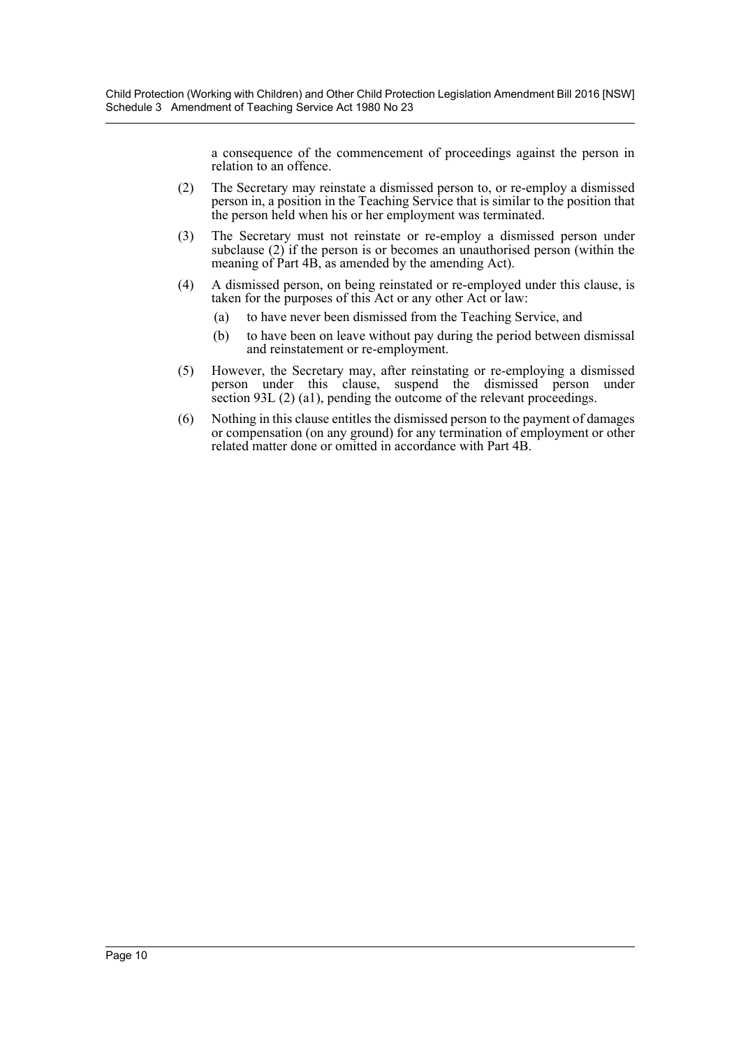Child Protection (Working with Children) and Other Child Protection Legislation Amendment Bill 2016 [NSW] Schedule 3 Amendment of Teaching Service Act 1980 No 23

> a consequence of the commencement of proceedings against the person in relation to an offence.

- (2) The Secretary may reinstate a dismissed person to, or re-employ a dismissed person in, a position in the Teaching Service that is similar to the position that the person held when his or her employment was terminated.
- (3) The Secretary must not reinstate or re-employ a dismissed person under subclause (2) if the person is or becomes an unauthorised person (within the meaning of Part 4B, as amended by the amending Act).
- (4) A dismissed person, on being reinstated or re-employed under this clause, is taken for the purposes of this Act or any other Act or law:
	- (a) to have never been dismissed from the Teaching Service, and
	- (b) to have been on leave without pay during the period between dismissal and reinstatement or re-employment.
- (5) However, the Secretary may, after reinstating or re-employing a dismissed person under this clause, suspend the dismissed person under section 93L (2) (a1), pending the outcome of the relevant proceedings.
- (6) Nothing in this clause entitles the dismissed person to the payment of damages or compensation (on any ground) for any termination of employment or other related matter done or omitted in accordance with Part 4B.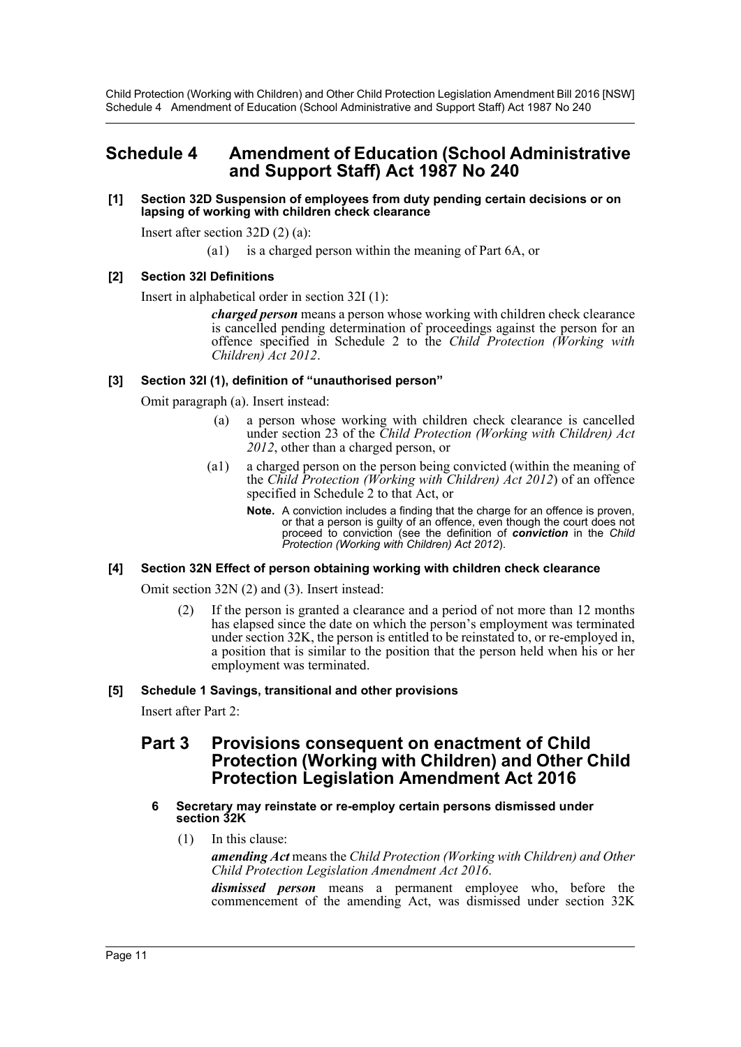Child Protection (Working with Children) and Other Child Protection Legislation Amendment Bill 2016 [NSW] Schedule 4 Amendment of Education (School Administrative and Support Staff) Act 1987 No 240

# <span id="page-11-0"></span>**Schedule 4 Amendment of Education (School Administrative and Support Staff) Act 1987 No 240**

#### **[1] Section 32D Suspension of employees from duty pending certain decisions or on lapsing of working with children check clearance**

Insert after section 32D (2) (a):

(a1) is a charged person within the meaning of Part 6A, or

#### **[2] Section 32I Definitions**

Insert in alphabetical order in section 32I (1):

*charged person* means a person whose working with children check clearance is cancelled pending determination of proceedings against the person for an offence specified in Schedule 2 to the *Child Protection (Working with Children) Act 2012*.

#### **[3] Section 32I (1), definition of "unauthorised person"**

Omit paragraph (a). Insert instead:

- (a) a person whose working with children check clearance is cancelled under section 23 of the *Child Protection (Working with Children) Act 2012*, other than a charged person, or
- (a1) a charged person on the person being convicted (within the meaning of the *Child Protection (Working with Children) Act 2012*) of an offence specified in Schedule 2 to that Act, or
	- **Note.** A conviction includes a finding that the charge for an offence is proven, or that a person is guilty of an offence, even though the court does not proceed to conviction (see the definition of *conviction* in the *Child Protection (Working with Children) Act 2012*).

#### **[4] Section 32N Effect of person obtaining working with children check clearance**

Omit section 32N (2) and (3). Insert instead:

(2) If the person is granted a clearance and a period of not more than 12 months has elapsed since the date on which the person's employment was terminated under section 32K, the person is entitled to be reinstated to, or re-employed in, a position that is similar to the position that the person held when his or her employment was terminated.

#### **[5] Schedule 1 Savings, transitional and other provisions**

Insert after Part 2:

## **Part 3 Provisions consequent on enactment of Child Protection (Working with Children) and Other Child Protection Legislation Amendment Act 2016**

- **6 Secretary may reinstate or re-employ certain persons dismissed under section 32K**
	- (1) In this clause:

*amending Act* means the *Child Protection (Working with Children) and Other Child Protection Legislation Amendment Act 2016*.

*dismissed person* means a permanent employee who, before the commencement of the amending Act, was dismissed under section 32K